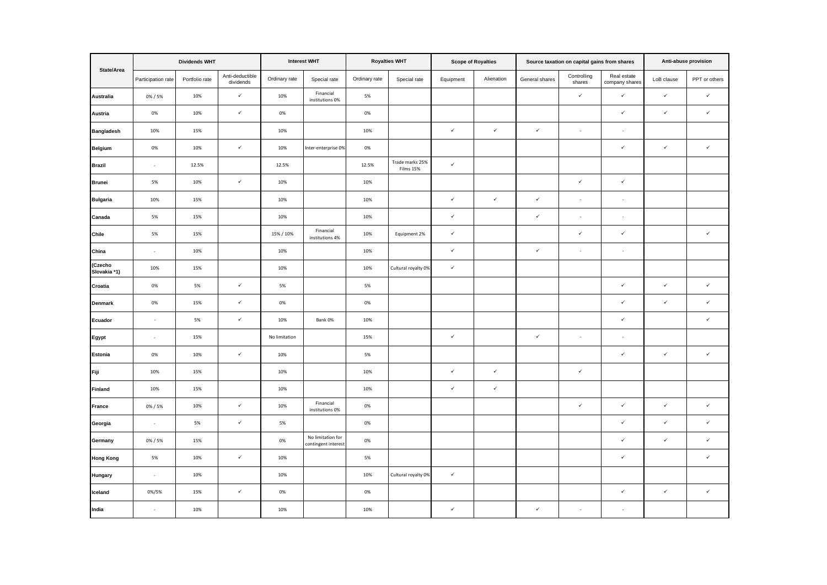| State/Area              | <b>Dividends WHT</b> |                |                              | <b>Interest WHT</b> |                                          | <b>Royalties WHT</b> |                              | <b>Scope of Royalties</b> |              | Source taxation on capital gains from shares |                       |                               | Anti-abuse provision |               |
|-------------------------|----------------------|----------------|------------------------------|---------------------|------------------------------------------|----------------------|------------------------------|---------------------------|--------------|----------------------------------------------|-----------------------|-------------------------------|----------------------|---------------|
|                         | Participation rate   | Portfolio rate | Anti-deductible<br>dividends | Ordinary rate       | Special rate                             | Ordinary rate        | Special rate                 | Equipment                 | Alienation   | General shares                               | Controlling<br>shares | Real estate<br>company shares | LoB clause           | PPT or others |
| <b>Australia</b>        | 0%/5%                | 10%            | $\checkmark$                 | 10%                 | Financial<br>institutions 0%             | 5%                   |                              |                           |              |                                              | $\checkmark$          | $\checkmark$                  | $\checkmark$         | $\checkmark$  |
| <b>Austria</b>          | 0%                   | 10%            | $\checkmark$                 | 0%                  |                                          | 0%                   |                              |                           |              |                                              |                       | $\checkmark$                  | $\checkmark$         | $\checkmark$  |
| Bangladesh              | 10%                  | 15%            |                              | 10%                 |                                          | 10%                  |                              | $\checkmark$              | $\checkmark$ | $\checkmark$                                 | $\bar{z}$             | $\sim$                        |                      |               |
| Belgium                 | 0%                   | 10%            | $\checkmark$                 | 10%                 | Inter-enterprise 0%                      | 0%                   |                              |                           |              |                                              |                       | $\checkmark$                  | $\checkmark$         | $\checkmark$  |
| <b>Brazil</b>           | $\sim$               | 12.5%          |                              | 12.5%               |                                          | 12.5%                | Trade marks 25%<br>Films 15% | $\checkmark$              |              |                                              |                       |                               |                      |               |
| <b>Brunei</b>           | 5%                   | 10%            | $\checkmark$                 | 10%                 |                                          | 10%                  |                              |                           |              |                                              | $\checkmark$          | $\checkmark$                  |                      |               |
| <b>Bulgaria</b>         | 10%                  | 15%            |                              | 10%                 |                                          | 10%                  |                              | $\checkmark$              | $\checkmark$ | $\checkmark$                                 | $\sim$                | $\sim$                        |                      |               |
| Canada                  | 5%                   | 15%            |                              | 10%                 |                                          | 10%                  |                              | $\checkmark$              |              | $\checkmark$                                 | $\sim$                | $\sim$                        |                      |               |
| Chile                   | 5%                   | 15%            |                              | 15% / 10%           | Financial<br>institutions 4%             | 10%                  | Equipment 2%                 | $\checkmark$              |              |                                              | $\checkmark$          | $\checkmark$                  |                      | $\checkmark$  |
| China                   | ÷.                   | 10%            |                              | 10%                 |                                          | 10%                  |                              | $\checkmark$              |              | $\checkmark$                                 | $\sim$                | $\sim$                        |                      |               |
| (Czecho<br>Slovakia *1) | 10%                  | 15%            |                              | 10%                 |                                          | 10%                  | Cultural royalty 0%          | $\checkmark$              |              |                                              |                       |                               |                      |               |
| Croatia                 | 0%                   | 5%             | $\checkmark$                 | 5%                  |                                          | 5%                   |                              |                           |              |                                              |                       | $\checkmark$                  | $\checkmark$         | $\checkmark$  |
| <b>Denmark</b>          | 0%                   | 15%            | $\checkmark$                 | 0%                  |                                          | 0%                   |                              |                           |              |                                              |                       | $\checkmark$                  | $\checkmark$         | $\checkmark$  |
| Ecuador                 | ÷.                   | 5%             | $\checkmark$                 | 10%                 | Bank 0%                                  | 10%                  |                              |                           |              |                                              |                       | $\checkmark$                  |                      | $\checkmark$  |
| Egypt                   | $\sim$               | 15%            |                              | No limitation       |                                          | 15%                  |                              | $\checkmark$              |              | $\checkmark$                                 | $\bar{z}$             | $\sim$                        |                      |               |
| Estonia                 | 0%                   | 10%            | $\checkmark$                 | 10%                 |                                          | 5%                   |                              |                           |              |                                              |                       | $\checkmark$                  | $\checkmark$         | $\checkmark$  |
| Fiji                    | 10%                  | 15%            |                              | 10%                 |                                          | 10%                  |                              | $\checkmark$              | $\checkmark$ |                                              | $\checkmark$          |                               |                      |               |
| <b>Finland</b>          | 10%                  | 15%            |                              | 10%                 |                                          | 10%                  |                              | $\checkmark$              | $\checkmark$ |                                              |                       |                               |                      |               |
| France                  | 0%/5%                | 10%            | $\checkmark$                 | 10%                 | Financial<br>institutions 0%             | 0%                   |                              |                           |              |                                              | $\checkmark$          | $\checkmark$                  | $\checkmark$         | $\checkmark$  |
| Georgia                 | $\sim$               | 5%             | $\checkmark$                 | 5%                  |                                          | 0%                   |                              |                           |              |                                              |                       | $\checkmark$                  | $\checkmark$         | $\checkmark$  |
| Germany                 | 0%/5%                | 15%            |                              | 0%                  | No limitation for<br>contingent interest | 0%                   |                              |                           |              |                                              |                       | $\checkmark$                  | $\checkmark$         | $\checkmark$  |
| <b>Hong Kong</b>        | 5%                   | 10%            | $\checkmark$                 | 10%                 |                                          | 5%                   |                              |                           |              |                                              |                       | $\checkmark$                  |                      | $\checkmark$  |
| Hungary                 |                      | 10%            |                              | 10%                 |                                          | 10%                  | Cultural royalty 0%          | $\checkmark$              |              |                                              |                       |                               |                      |               |
| Iceland                 | 0%/5%                | 15%            | $\checkmark$                 | 0%                  |                                          | 0%                   |                              |                           |              |                                              |                       | $\checkmark$                  | $\checkmark$         | $\checkmark$  |
| India                   | $\sim$               | 10%            |                              | 10%                 |                                          | 10%                  |                              | $\checkmark$              |              | $\checkmark$                                 | $\sim$                |                               |                      |               |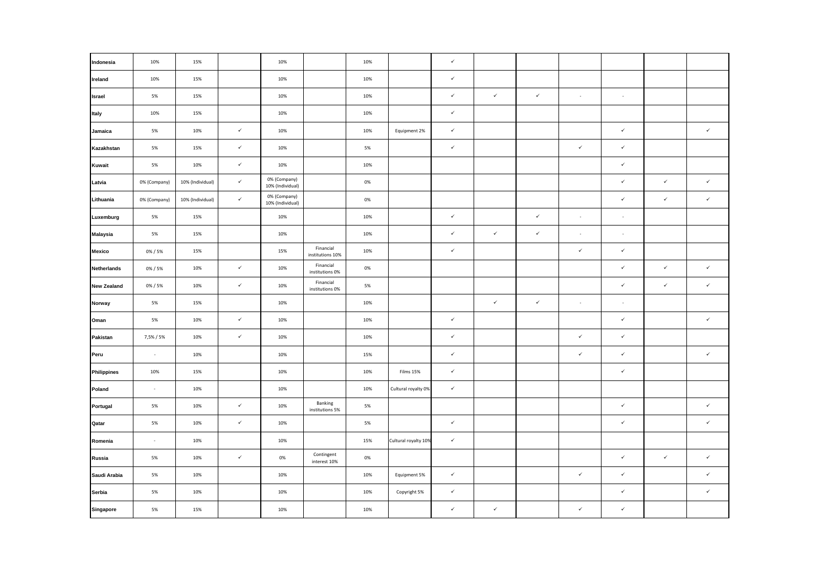| Indonesia          | 10%          | 15%              |              | 10%                              |                               | 10% |                      | $\checkmark$ |              |              |              |              |              |              |
|--------------------|--------------|------------------|--------------|----------------------------------|-------------------------------|-----|----------------------|--------------|--------------|--------------|--------------|--------------|--------------|--------------|
| Ireland            | 10%          | 15%              |              | 10%                              |                               | 10% |                      | $\checkmark$ |              |              |              |              |              |              |
| Israel             | 5%           | 15%              |              | 10%                              |                               | 10% |                      | $\checkmark$ | $\checkmark$ | $\checkmark$ | à.           | $\sim$       |              |              |
| Italy              | 10%          | 15%              |              | 10%                              |                               | 10% |                      | $\checkmark$ |              |              |              |              |              |              |
| Jamaica            | 5%           | 10%              | $\checkmark$ | 10%                              |                               | 10% | Equipment 2%         | $\checkmark$ |              |              |              | $\checkmark$ |              | $\checkmark$ |
| Kazakhstan         | 5%           | 15%              | $\checkmark$ | 10%                              |                               | 5%  |                      | $\checkmark$ |              |              | $\checkmark$ | $\checkmark$ |              |              |
| Kuwait             | 5%           | 10%              | $\checkmark$ | 10%                              |                               | 10% |                      |              |              |              |              | $\checkmark$ |              |              |
| Latvia             | 0% (Company) | 10% (Individual) | $\checkmark$ | 0% (Company)<br>10% (Individual) |                               | 0%  |                      |              |              |              |              | $\checkmark$ | $\checkmark$ | $\checkmark$ |
| Lithuania          | 0% (Company) | 10% (Individual) | $\checkmark$ | 0% (Company)<br>10% (Individual) |                               | 0%  |                      |              |              |              |              | $\checkmark$ | $\checkmark$ | $\checkmark$ |
| Luxemburg          | $5\%$        | 15%              |              | 10%                              |                               | 10% |                      | $\checkmark$ |              | $\checkmark$ | $\sim$       | $\sim$       |              |              |
| <b>Malaysia</b>    | 5%           | 15%              |              | 10%                              |                               | 10% |                      | $\checkmark$ | $\checkmark$ | $\checkmark$ | $\mathbf{r}$ | $\sim$       |              |              |
| Mexico             | 0%/5%        | 15%              |              | 15%                              | Financial<br>institutions 10% | 10% |                      | $\checkmark$ |              |              | $\checkmark$ | $\checkmark$ |              |              |
| Netherlands        | 0%/5%        | 10%              | $\checkmark$ | 10%                              | Financial<br>institutions 0%  | 0%  |                      |              |              |              |              | $\checkmark$ | $\checkmark$ | $\checkmark$ |
| <b>New Zealand</b> | 0% / 5%      | 10%              | $\checkmark$ | 10%                              | Financial<br>institutions 0%  | 5%  |                      |              |              |              |              | $\checkmark$ | $\checkmark$ | $\checkmark$ |
| Norway             | 5%           | 15%              |              | 10%                              |                               | 10% |                      |              | $\checkmark$ | $\checkmark$ | ÷.           | $\sim$       |              |              |
| Oman               | 5%           | 10%              | $\checkmark$ | 10%                              |                               | 10% |                      | $\checkmark$ |              |              |              | $\checkmark$ |              | $\checkmark$ |
| Pakistan           | 7,5% / 5%    | 10%              | $\checkmark$ | 10%                              |                               | 10% |                      | $\checkmark$ |              |              | $\checkmark$ | $\checkmark$ |              |              |
| Peru               | $\sim$       | 10%              |              | 10%                              |                               | 15% |                      | $\checkmark$ |              |              | $\checkmark$ | $\checkmark$ |              | $\checkmark$ |
| Philippines        | 10%          | 15%              |              | 10%                              |                               | 10% | Films 15%            | $\checkmark$ |              |              |              | $\checkmark$ |              |              |
| Poland             | $\sim$       | 10%              |              | 10%                              |                               | 10% | Cultural royalty 0%  | $\checkmark$ |              |              |              |              |              |              |
| Portugal           | 5%           | 10%              | $\checkmark$ | 10%                              | Banking<br>institutions 5%    | 5%  |                      |              |              |              |              | $\checkmark$ |              | $\checkmark$ |
| Qatar              | 5%           | 10%              | $\checkmark$ | 10%                              |                               | 5%  |                      | $\checkmark$ |              |              |              | $\checkmark$ |              | $\checkmark$ |
| Romenia            | $\sim$       | 10%              |              | 10%                              |                               | 15% | Cultural royalty 10% | $\checkmark$ |              |              |              |              |              |              |
| Russia             | 5%           | 10%              | $\checkmark$ | 0%                               | Contingent<br>interest $10\%$ | 0%  |                      |              |              |              |              | $\checkmark$ | $\checkmark$ | $\checkmark$ |
| Saudi Arabia       | 5%           | 10%              |              | 10%                              |                               | 10% | Equipment 5%         | $\checkmark$ |              |              | $\checkmark$ | $\checkmark$ |              | $\checkmark$ |
| Serbia             | 5%           | 10%              |              | 10%                              |                               | 10% | Copyright 5%         | $\checkmark$ |              |              |              | $\checkmark$ |              | $\checkmark$ |
| Singapore          | 5%           | 15%              |              | 10%                              |                               | 10% |                      | $\checkmark$ | $\checkmark$ |              | $\checkmark$ | $\checkmark$ |              |              |
|                    |              |                  |              |                                  |                               |     |                      |              |              |              |              |              |              |              |